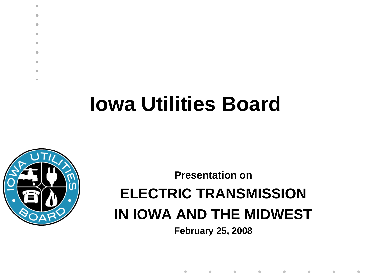



 $\bullet$  $\bullet$ ä  $\triangle$  $\bullet$  $\bullet$  $\bullet$  $\triangle$ 

**Presentation on**

#### **ELECTRIC TRANSMISSION IN IOWA AND THE MIDWEST**

**February 25, 2008**

 $\bullet$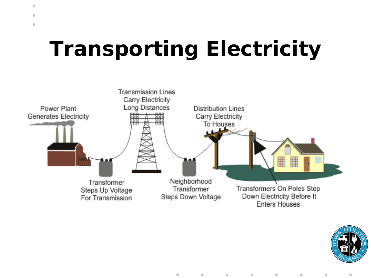## **Transporting Electricity**

 $\bullet$  $\bullet$  $\bullet$ 



 $\bullet$ 



ä

 $\qquad \qquad \bullet$  $\bullet$  $\qquad \qquad \blacksquare$  $\qquad \qquad \blacksquare$  $\bullet$  $\bullet$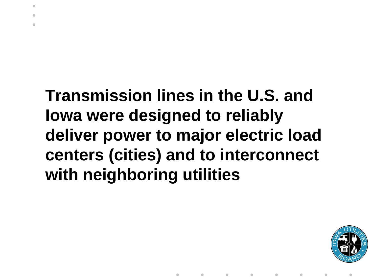#### **Transmission lines in the U.S. and Iowa were designed to reliably deliver power to major electric load centers (cities) and to interconnect with neighboring utilities**

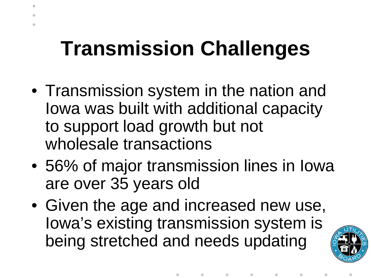### **Transmission Challenges**

- Transmission system in the nation and Iowa was built with additional capacity to support load growth but not wholesale transactions
- 56% of major transmission lines in Iowa are over 35 years old
- Given the age and increased new use, Iowa's existing transmission system is being stretched and needs updating

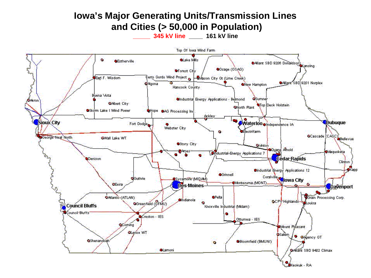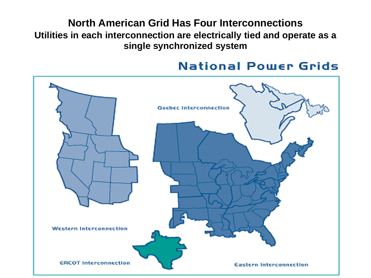**North American Grid Has Four Interconnections Utilities in each interconnection are electrically tied and operate as a single synchronized system**

#### **National Power Grids**

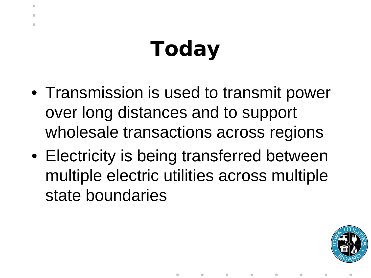# **Today**

- Transmission is used to transmit power over long distances and to support wholesale transactions across regions
- Electricity is being transferred between multiple electric utilities across multiple state boundaries

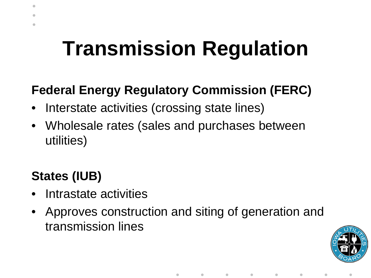### **Transmission Regulation**

#### **Federal Energy Regulatory Commission (FERC)**

- Interstate activities (crossing state lines)
- Wholesale rates (sales and purchases between utilities)

#### **States (IUB)**

- Intrastate activities
- Approves construction and siting of generation and transmission lines

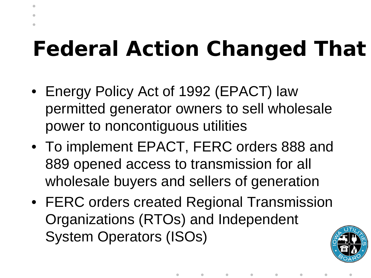### **Federal Action Changed That**

- Energy Policy Act of 1992 (EPACT) law permitted generator owners to sell wholesale power to noncontiguous utilities
- To implement EPACT, FERC orders 888 and 889 opened access to transmission for all wholesale buyers and sellers of generation
- FERC orders created Regional Transmission Organizations (RTOs) and Independent System Operators (ISOs)

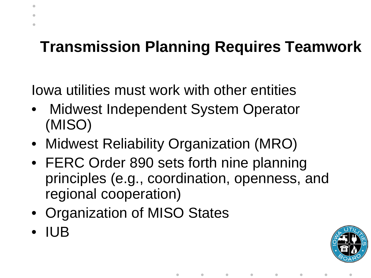#### **Transmission Planning Requires Teamwork**

Iowa utilities must work with other entities

- Midwest Independent System Operator (MISO)
- Midwest Reliability Organization (MRO)
- FERC Order 890 sets forth nine planning principles (e.g., coordination, openness, and regional cooperation)
- Organization of MISO States
- IUB

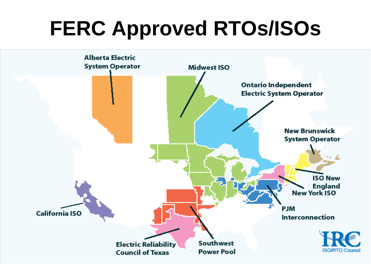### **FERC Approved RTOs/ISOs**

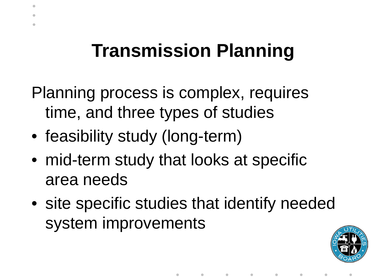#### **Transmission Planning**

Planning process is complex, requires time, and three types of studies

- feasibility study (long-term)
- mid-term study that looks at specific area needs
- site specific studies that identify needed system improvements

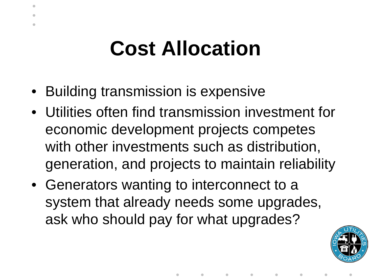#### **Cost Allocation**

- Building transmission is expensive
- Utilities often find transmission investment for economic development projects competes with other investments such as distribution, generation, and projects to maintain reliability
- Generators wanting to interconnect to a system that already needs some upgrades, ask who should pay for what upgrades?

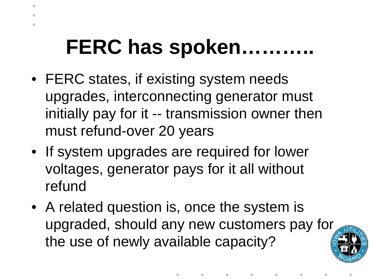#### **FERC has spoken………..**

- FERC states, if existing system needs upgrades, interconnecting generator must initially pay for it -- transmission owner then must refund-over 20 years
- If system upgrades are required for lower voltages, generator pays for it all without refund
- A related question is, once the system is upgraded, should any new customers pay for the use of newly available capacity?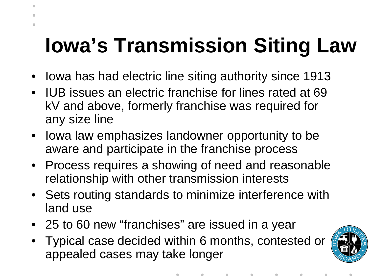### **Iowa's Transmission Siting Law**

- Iowa has had electric line siting authority since 1913
- IUB issues an electric franchise for lines rated at 69 kV and above, formerly franchise was required for any size line
- Iowa law emphasizes landowner opportunity to be aware and participate in the franchise process
- Process requires a showing of need and reasonable relationship with other transmission interests
- Sets routing standards to minimize interference with land use
- 25 to 60 new "franchises" are issued in a year
- Typical case decided within 6 months, contested or appealed cases may take longer

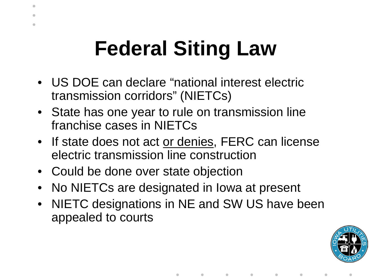## **Federal Siting Law**

- US DOE can declare "national interest electric transmission corridors" (NIETCs)
- State has one year to rule on transmission line franchise cases in NIETCs
- If state does not act or denies, FERC can license electric transmission line construction
- Could be done over state objection
- No NIETCs are designated in Iowa at present
- NIETC designations in NE and SW US have been appealed to courts

 $\bullet$